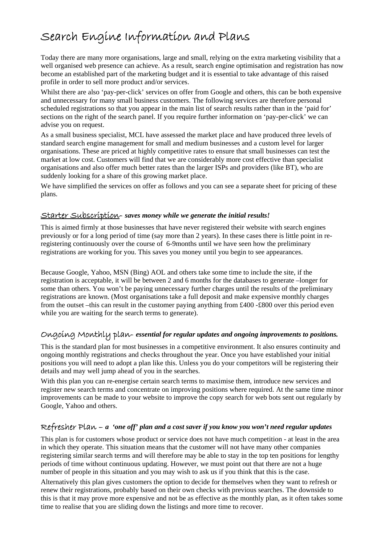# Search Engine Information and Plans

Today there are many more organisations, large and small, relying on the extra marketing visibility that a well organised web presence can achieve. As a result, search engine optimisation and registration has now become an established part of the marketing budget and it is essential to take advantage of this raised profile in order to sell more product and/or services.

Whilst there are also 'pay-per-click' services on offer from Google and others, this can be both expensive and unnecessary for many small business customers. The following services are therefore personal scheduled registrations so that you appear in the main list of search results rather than in the 'paid for' sections on the right of the search panel. If you require further information on 'pay-per-click' we can advise you on request.

As a small business specialist, MCL have assessed the market place and have produced three levels of standard search engine management for small and medium businesses and a custom level for larger organisations. These are priced at highly competitive rates to ensure that small businesses can test the market at low cost. Customers will find that we are considerably more cost effective than specialist organisations and also offer much better rates than the larger ISPs and providers (like BT), who are suddenly looking for a share of this growing market place.

We have simplified the services on offer as follows and you can see a separate sheet for pricing of these plans.

#### Starter Subscription- *saves money while we generate the initial results!*

This is aimed firmly at those businesses that have never registered their website with search engines previously or for a long period of time (say more than 2 years). In these cases there is little point in reregistering continuously over the course of 6-9months until we have seen how the preliminary registrations are working for you. This saves you money until you begin to see appearances.

Because Google, Yahoo, MSN (Bing) AOL and others take some time to include the site, if the registration is acceptable, it will be between 2 and 6 months for the databases to generate –longer for some than others. You won't be paying unnecessary further charges until the results of the preliminary registrations are known. (Most organisations take a full deposit and make expensive monthly charges from the outset –this can result in the customer paying anything from £400 -£800 over this period even while you are waiting for the search terms to generate).

## Ongoing Monthly plan- *essential for regular updates and ongoing improvements to positions.*

This is the standard plan for most businesses in a competitive environment. It also ensures continuity and ongoing monthly registrations and checks throughout the year. Once you have established your initial positions you will need to adopt a plan like this. Unless you do your competitors will be registering their details and may well jump ahead of you in the searches.

With this plan you can re-energise certain search terms to maximise them, introduce new services and register new search terms and concentrate on improving positions where required. At the same time minor improvements can be made to your website to improve the copy search for web bots sent out regularly by Google, Yahoo and others.

### Refresher Plan – *a 'one off' plan and a cost saver if you know you won't need regular updates*

This plan is for customers whose product or service does not have much competition - at least in the area in which they operate. This situation means that the customer will not have many other companies registering similar search terms and will therefore may be able to stay in the top ten positions for lengthy periods of time without continuous updating. However, we must point out that there are not a huge number of people in this situation and you may wish to ask us if you think that this is the case.

Alternatively this plan gives customers the option to decide for themselves when they want to refresh or renew their registrations, probably based on their own checks with previous searches. The downside to this is that it may prove more expensive and not be as effective as the monthly plan, as it often takes some time to realise that you are sliding down the listings and more time to recover.